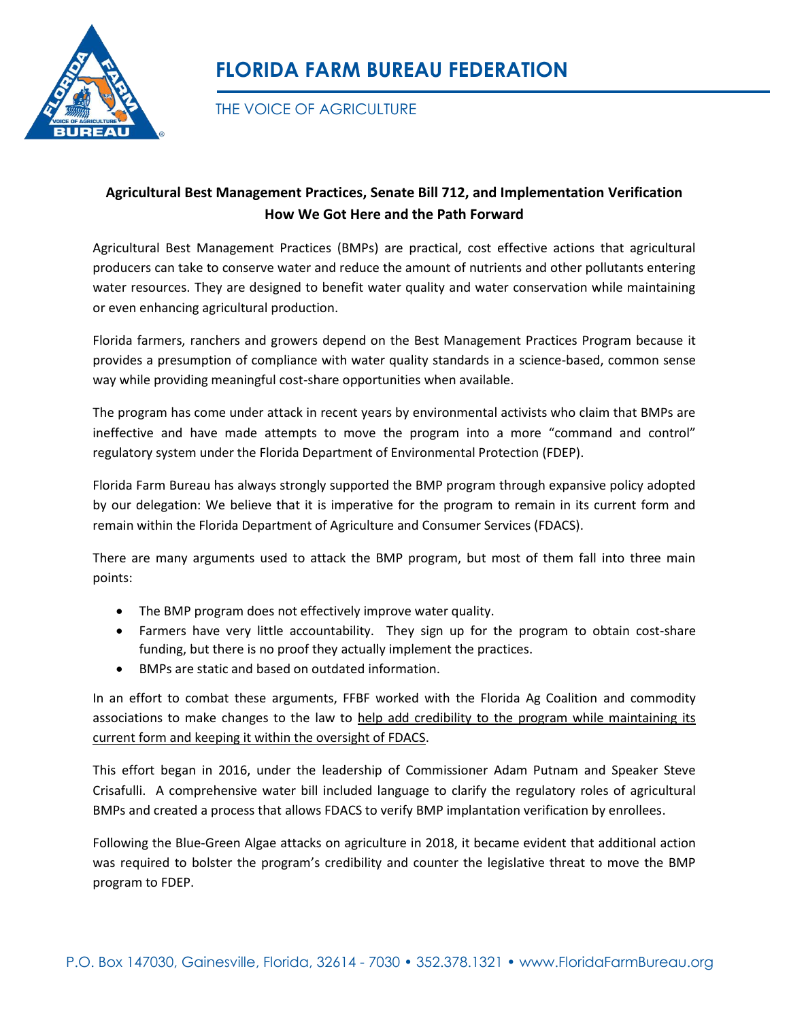

## **FLORIDA FARM BUREAU FEDERATION**

THE VOICE OF AGRICULTURE

## **Agricultural Best Management Practices, Senate Bill 712, and Implementation Verification How We Got Here and the Path Forward**

Agricultural Best Management Practices (BMPs) are practical, cost effective actions that agricultural producers can take to conserve water and reduce the amount of nutrients and other pollutants entering water resources. They are designed to benefit water quality and water conservation while maintaining or even enhancing agricultural production.

Florida farmers, ranchers and growers depend on the Best Management Practices Program because it provides a presumption of compliance with water quality standards in a science-based, common sense way while providing meaningful cost-share opportunities when available.

The program has come under attack in recent years by environmental activists who claim that BMPs are ineffective and have made attempts to move the program into a more "command and control" regulatory system under the Florida Department of Environmental Protection (FDEP).

Florida Farm Bureau has always strongly supported the BMP program through expansive policy adopted by our delegation: We believe that it is imperative for the program to remain in its current form and remain within the Florida Department of Agriculture and Consumer Services (FDACS).

There are many arguments used to attack the BMP program, but most of them fall into three main points:

- The BMP program does not effectively improve water quality.
- Farmers have very little accountability. They sign up for the program to obtain cost-share funding, but there is no proof they actually implement the practices.
- BMPs are static and based on outdated information.

In an effort to combat these arguments, FFBF worked with the Florida Ag Coalition and commodity associations to make changes to the law to help add credibility to the program while maintaining its current form and keeping it within the oversight of FDACS.

This effort began in 2016, under the leadership of Commissioner Adam Putnam and Speaker Steve Crisafulli. A comprehensive water bill included language to clarify the regulatory roles of agricultural BMPs and created a process that allows FDACS to verify BMP implantation verification by enrollees.

Following the Blue-Green Algae attacks on agriculture in 2018, it became evident that additional action was required to bolster the program's credibility and counter the legislative threat to move the BMP program to FDEP.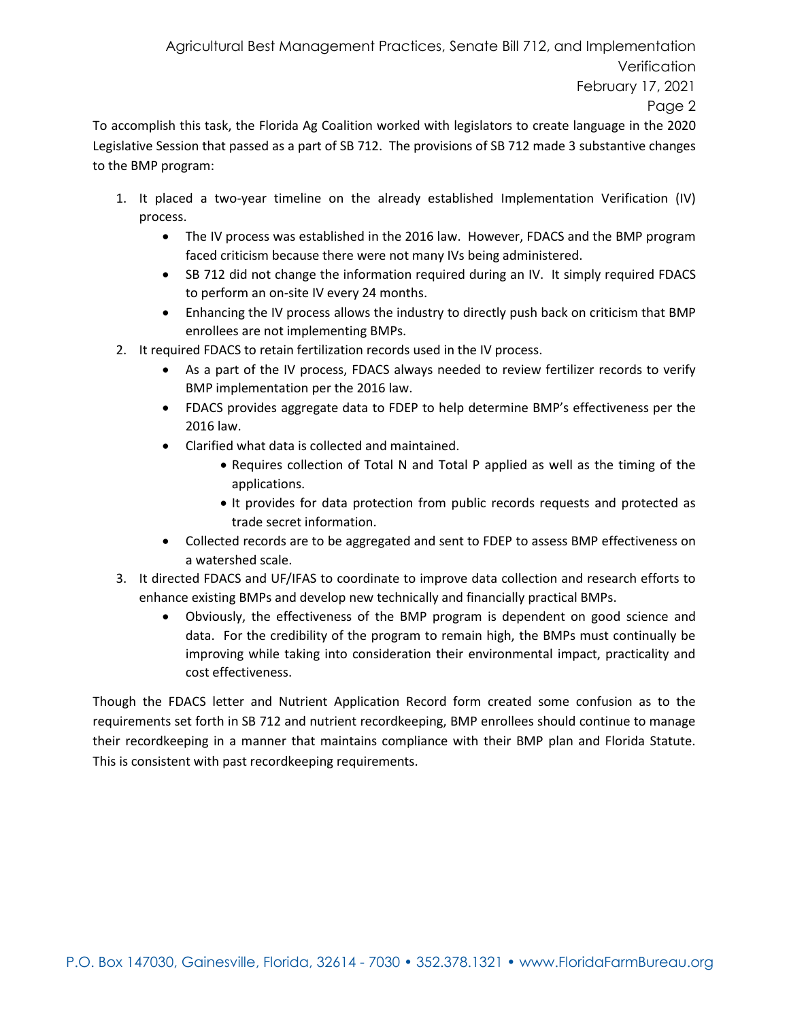Agricultural Best Management Practices, Senate Bill 712, and Implementation **Verification** February 17, 2021 Page 2

To accomplish this task, the Florida Ag Coalition worked with legislators to create language in the 2020 Legislative Session that passed as a part of SB 712. The provisions of SB 712 made 3 substantive changes to the BMP program:

- 1. It placed a two-year timeline on the already established Implementation Verification (IV) process.
	- The IV process was established in the 2016 law. However, FDACS and the BMP program faced criticism because there were not many IVs being administered.
	- SB 712 did not change the information required during an IV. It simply required FDACS to perform an on-site IV every 24 months.
	- Enhancing the IV process allows the industry to directly push back on criticism that BMP enrollees are not implementing BMPs.
- 2. It required FDACS to retain fertilization records used in the IV process.
	- As a part of the IV process, FDACS always needed to review fertilizer records to verify BMP implementation per the 2016 law.
	- FDACS provides aggregate data to FDEP to help determine BMP's effectiveness per the 2016 law.
	- Clarified what data is collected and maintained.
		- Requires collection of Total N and Total P applied as well as the timing of the applications.
		- It provides for data protection from public records requests and protected as trade secret information.
	- Collected records are to be aggregated and sent to FDEP to assess BMP effectiveness on a watershed scale.
- 3. It directed FDACS and UF/IFAS to coordinate to improve data collection and research efforts to enhance existing BMPs and develop new technically and financially practical BMPs.
	- Obviously, the effectiveness of the BMP program is dependent on good science and data. For the credibility of the program to remain high, the BMPs must continually be improving while taking into consideration their environmental impact, practicality and cost effectiveness.

Though the FDACS letter and Nutrient Application Record form created some confusion as to the requirements set forth in SB 712 and nutrient recordkeeping, BMP enrollees should continue to manage their recordkeeping in a manner that maintains compliance with their BMP plan and Florida Statute. This is consistent with past recordkeeping requirements.